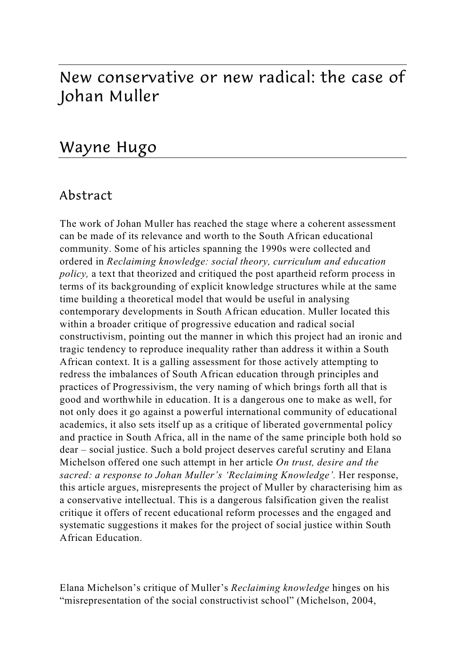## New conservative or new radical: the case of Johan Muller

## Wayne Hugo

## Abstract

The work of Johan Muller has reached the stage where a coherent assessment can be made of its relevance and worth to the South African educational community. Some of his articles spanning the 1990s were collected and ordered in *Reclaiming knowledge: social theory, curriculum and education policy,* a text that theorized and critiqued the post apartheid reform process in terms of its backgrounding of explicit knowledge structures while at the same time building a theoretical model that would be useful in analysing contemporary developments in South African education. Muller located this within a broader critique of progressive education and radical social constructivism, pointing out the manner in which this project had an ironic and tragic tendency to reproduce inequality rather than address it within a South African context. It is a galling assessment for those actively attempting to redress the imbalances of South African education through principles and practices of Progressivism, the very naming of which brings forth all that is good and worthwhile in education. It is a dangerous one to make as well, for not only does it go against a powerful international community of educational academics, it also sets itself up as a critique of liberated governmental policy and practice in South Africa, all in the name of the same principle both hold so dear – social justice. Such a bold project deserves careful scrutiny and Elana Michelson offered one such attempt in her article *On trust, desire and the sacred: a response to Johan Muller's 'Reclaiming Knowledge'.* Her response, this article argues, misrepresents the project of Muller by characterising him as a conservative intellectual. This is a dangerous falsification given the realist critique it offers of recent educational reform processes and the engaged and systematic suggestions it makes for the project of social justice within South African Education.

Elana Michelson's critique of Muller's *Reclaiming knowledge* hinges on his "misrepresentation of the social constructivist school" (Michelson, 2004,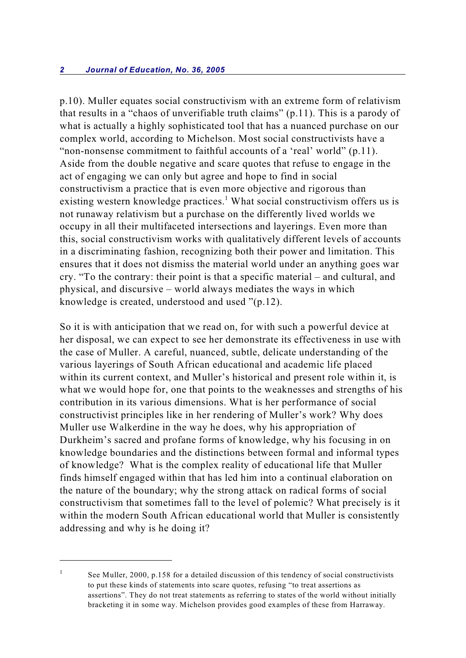p.10). Muller equates social constructivism with an extreme form of relativism that results in a "chaos of unverifiable truth claims" (p.11). This is a parody of what is actually a highly sophisticated tool that has a nuanced purchase on our complex world, according to Michelson. Most social constructivists have a "non-nonsense commitment to faithful accounts of a 'real' world" (p.11). Aside from the double negative and scare quotes that refuse to engage in the act of engaging we can only but agree and hope to find in social constructivism a practice that is even more objective and rigorous than existing western knowledge practices.<sup>1</sup> What social constructivism offers us is not runaway relativism but a purchase on the differently lived worlds we occupy in all their multifaceted intersections and layerings. Even more than this, social constructivism works with qualitatively different levels of accounts in a discriminating fashion, recognizing both their power and limitation. This ensures that it does not dismiss the material world under an anything goes war cry. "To the contrary: their point is that a specific material – and cultural, and physical, and discursive – world always mediates the ways in which knowledge is created, understood and used "(p.12).

So it is with anticipation that we read on, for with such a powerful device at her disposal, we can expect to see her demonstrate its effectiveness in use with the case of Muller. A careful, nuanced, subtle, delicate understanding of the various layerings of South African educational and academic life placed within its current context, and Muller's historical and present role within it, is what we would hope for, one that points to the weaknesses and strengths of his contribution in its various dimensions. What is her performance of social constructivist principles like in her rendering of Muller's work? Why does Muller use Walkerdine in the way he does, why his appropriation of Durkheim's sacred and profane forms of knowledge, why his focusing in on knowledge boundaries and the distinctions between formal and informal types of knowledge? What is the complex reality of educational life that Muller finds himself engaged within that has led him into a continual elaboration on the nature of the boundary; why the strong attack on radical forms of social constructivism that sometimes fall to the level of polemic? What precisely is it within the modern South African educational world that Muller is consistently addressing and why is he doing it?

 $\mu$  See Muller, 2000, p.158 for a detailed discussion of this tendency of social constructivists to put these kinds of statements into scare quotes, refusing "to treat assertions as assertions". They do not treat statements as referring to states of the world without initially bracketing it in some way. Michelson provides good examples of these from Harraway.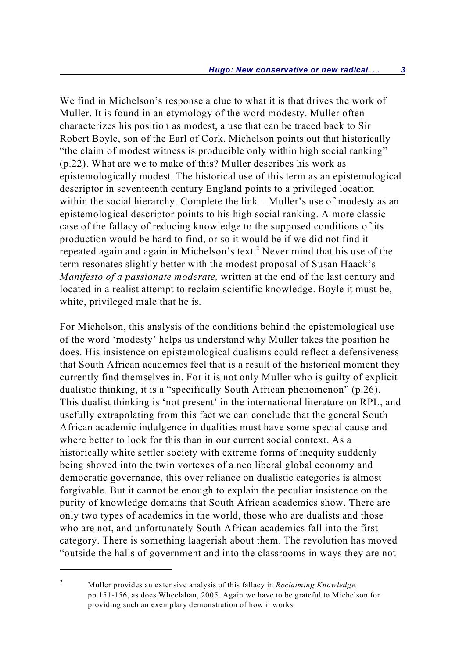We find in Michelson's response a clue to what it is that drives the work of Muller. It is found in an etymology of the word modesty. Muller often characterizes his position as modest, a use that can be traced back to Sir Robert Boyle, son of the Earl of Cork. Michelson points out that historically "the claim of modest witness is producible only within high social ranking" (p.22). What are we to make of this? Muller describes his work as epistemologically modest. The historical use of this term as an epistemological descriptor in seventeenth century England points to a privileged location within the social hierarchy. Complete the link – Muller's use of modesty as an epistemological descriptor points to his high social ranking. A more classic case of the fallacy of reducing knowledge to the supposed conditions of its production would be hard to find, or so it would be if we did not find it repeated again and again in Michelson's text.<sup>2</sup> Never mind that his use of the term resonates slightly better with the modest proposal of Susan Haack's *Manifesto of a passionate moderate,* written at the end of the last century and located in a realist attempt to reclaim scientific knowledge. Boyle it must be, white, privileged male that he is.

For Michelson, this analysis of the conditions behind the epistemological use of the word 'modesty' helps us understand why Muller takes the position he does. His insistence on epistemological dualisms could reflect a defensiveness that South African academics feel that is a result of the historical moment they currently find themselves in. For it is not only Muller who is guilty of explicit dualistic thinking, it is a "specifically South African phenomenon" (p.26). This dualist thinking is 'not present' in the international literature on RPL, and usefully extrapolating from this fact we can conclude that the general South African academic indulgence in dualities must have some special cause and where better to look for this than in our current social context. As a historically white settler society with extreme forms of inequity suddenly being shoved into the twin vortexes of a neo liberal global economy and democratic governance, this over reliance on dualistic categories is almost forgivable. But it cannot be enough to explain the peculiar insistence on the purity of knowledge domains that South African academics show. There are only two types of academics in the world, those who are dualists and those who are not, and unfortunately South African academics fall into the first category. There is something laagerish about them. The revolution has moved "outside the halls of government and into the classrooms in ways they are not

Muller provides an extensive analysis of this fallacy in *Reclaiming Knowledge,* 2 pp.151-156, as does Wheelahan, 2005. Again we have to be grateful to Michelson for providing such an exemplary demonstration of how it works.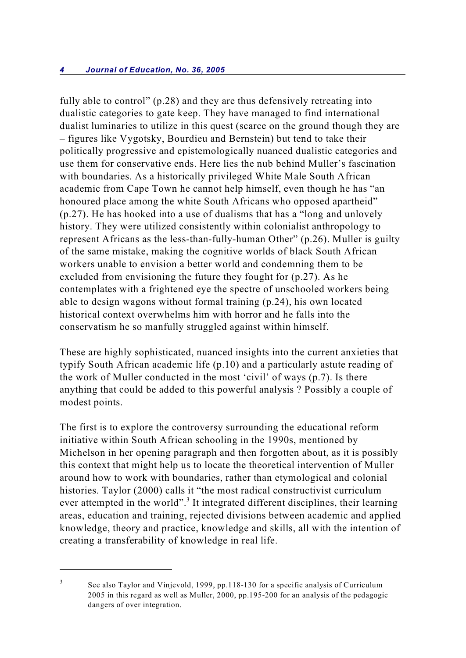fully able to control" (p.28) and they are thus defensively retreating into dualistic categories to gate keep. They have managed to find international dualist luminaries to utilize in this quest (scarce on the ground though they are – figures like Vygotsky, Bourdieu and Bernstein) but tend to take their politically progressive and epistemologically nuanced dualistic categories and use them for conservative ends. Here lies the nub behind Muller's fascination with boundaries. As a historically privileged White Male South African academic from Cape Town he cannot help himself, even though he has "an honoured place among the white South Africans who opposed apartheid" (p.27). He has hooked into a use of dualisms that has a "long and unlovely history. They were utilized consistently within colonialist anthropology to represent Africans as the less-than-fully-human Other" (p.26). Muller is guilty of the same mistake, making the cognitive worlds of black South African workers unable to envision a better world and condemning them to be excluded from envisioning the future they fought for (p.27). As he contemplates with a frightened eye the spectre of unschooled workers being able to design wagons without formal training (p.24), his own located historical context overwhelms him with horror and he falls into the conservatism he so manfully struggled against within himself.

These are highly sophisticated, nuanced insights into the current anxieties that typify South African academic life (p.10) and a particularly astute reading of the work of Muller conducted in the most 'civil' of ways (p.7). Is there anything that could be added to this powerful analysis ? Possibly a couple of modest points.

The first is to explore the controversy surrounding the educational reform initiative within South African schooling in the 1990s, mentioned by Michelson in her opening paragraph and then forgotten about, as it is possibly this context that might help us to locate the theoretical intervention of Muller around how to work with boundaries, rather than etymological and colonial histories. Taylor (2000) calls it "the most radical constructivist curriculum ever attempted in the world".<sup>3</sup> It integrated different disciplines, their learning areas, education and training, rejected divisions between academic and applied knowledge, theory and practice, knowledge and skills, all with the intention of creating a transferability of knowledge in real life.

3

See also Taylor and Vinjevold, 1999, pp.118-130 for a specific analysis of Curriculum 2005 in this regard as well as Muller, 2000, pp.195-200 for an analysis of the pedagogic dangers of over integration.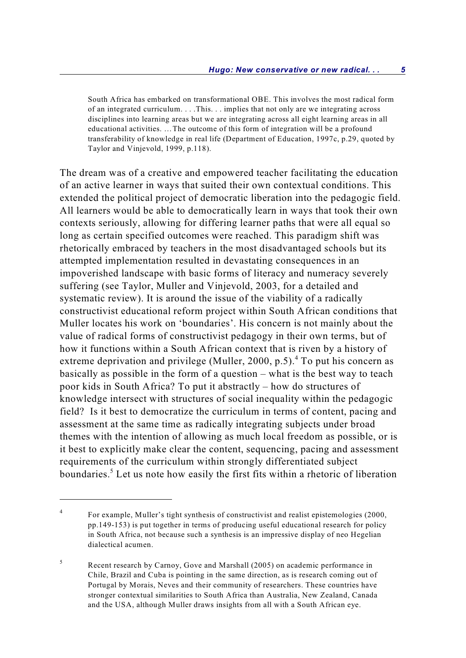South Africa has embarked on transformational OBE. This involves the most radical form of an integrated curriculum. . . .This. . . implies that not only are we integrating across disciplines into learning areas but we are integrating across all eight learning areas in all educational activities. …The outcome of this form of integration will be a profound transferability of knowledge in real life (Department of Education, 1997c, p.29, quoted by Taylor and Vinjevold, 1999, p.118).

The dream was of a creative and empowered teacher facilitating the education of an active learner in ways that suited their own contextual conditions. This extended the political project of democratic liberation into the pedagogic field. All learners would be able to democratically learn in ways that took their own contexts seriously, allowing for differing learner paths that were all equal so long as certain specified outcomes were reached. This paradigm shift was rhetorically embraced by teachers in the most disadvantaged schools but its attempted implementation resulted in devastating consequences in an impoverished landscape with basic forms of literacy and numeracy severely suffering (see Taylor, Muller and Vinjevold, 2003, for a detailed and systematic review). It is around the issue of the viability of a radically constructivist educational reform project within South African conditions that Muller locates his work on 'boundaries'. His concern is not mainly about the value of radical forms of constructivist pedagogy in their own terms, but of how it functions within a South African context that is riven by a history of extreme deprivation and privilege (Muller, 2000, p.5).<sup>4</sup> To put his concern as basically as possible in the form of a question – what is the best way to teach poor kids in South Africa? To put it abstractly – how do structures of knowledge intersect with structures of social inequality within the pedagogic field? Is it best to democratize the curriculum in terms of content, pacing and assessment at the same time as radically integrating subjects under broad themes with the intention of allowing as much local freedom as possible, or is it best to explicitly make clear the content, sequencing, pacing and assessment requirements of the curriculum within strongly differentiated subject boundaries.<sup>5</sup> Let us note how easily the first fits within a rhetoric of liberation

For example, Muller's tight synthesis of constructivist and realist epistemologies (2000, pp.149-153) is put together in terms of producing useful educational research for policy in South Africa, not because such a synthesis is an impressive display of neo Hegelian dialectical acumen.

<sup>&</sup>lt;sup>5</sup> Recent research by Carnoy, Gove and Marshall (2005) on academic performance in Chile, Brazil and Cuba is pointing in the same direction, as is research coming out of Portugal by Morais, Neves and their community of researchers. These countries have stronger contextual similarities to South Africa than Australia, New Zealand, Canada and the USA, although Muller draws insights from all with a South African eye.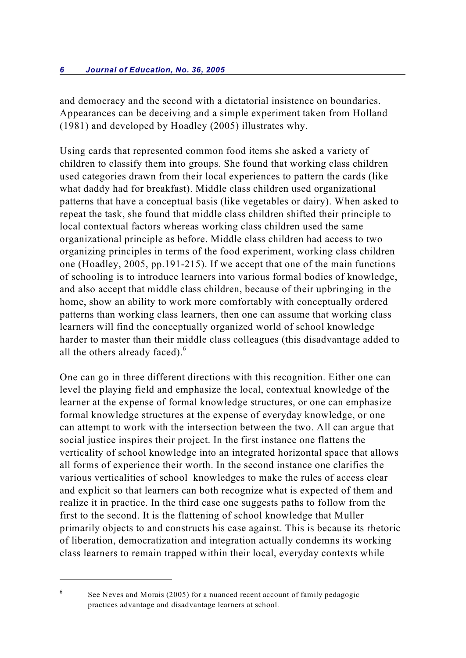and democracy and the second with a dictatorial insistence on boundaries. Appearances can be deceiving and a simple experiment taken from Holland (1981) and developed by Hoadley (2005) illustrates why.

Using cards that represented common food items she asked a variety of children to classify them into groups. She found that working class children used categories drawn from their local experiences to pattern the cards (like what daddy had for breakfast). Middle class children used organizational patterns that have a conceptual basis (like vegetables or dairy). When asked to repeat the task, she found that middle class children shifted their principle to local contextual factors whereas working class children used the same organizational principle as before. Middle class children had access to two organizing principles in terms of the food experiment, working class children one (Hoadley, 2005, pp.191-215). If we accept that one of the main functions of schooling is to introduce learners into various formal bodies of knowledge, and also accept that middle class children, because of their upbringing in the home, show an ability to work more comfortably with conceptually ordered patterns than working class learners, then one can assume that working class learners will find the conceptually organized world of school knowledge harder to master than their middle class colleagues (this disadvantage added to all the others already faced).<sup>6</sup>

One can go in three different directions with this recognition. Either one can level the playing field and emphasize the local, contextual knowledge of the learner at the expense of formal knowledge structures, or one can emphasize formal knowledge structures at the expense of everyday knowledge, or one can attempt to work with the intersection between the two. All can argue that social justice inspires their project. In the first instance one flattens the verticality of school knowledge into an integrated horizontal space that allows all forms of experience their worth. In the second instance one clarifies the various verticalities of school knowledges to make the rules of access clear and explicit so that learners can both recognize what is expected of them and realize it in practice. In the third case one suggests paths to follow from the first to the second. It is the flattening of school knowledge that Muller primarily objects to and constructs his case against. This is because its rhetoric of liberation, democratization and integration actually condemns its working class learners to remain trapped within their local, everyday contexts while

 $6$  See Neves and Morais (2005) for a nuanced recent account of family pedagogic practices advantage and disadvantage learners at school.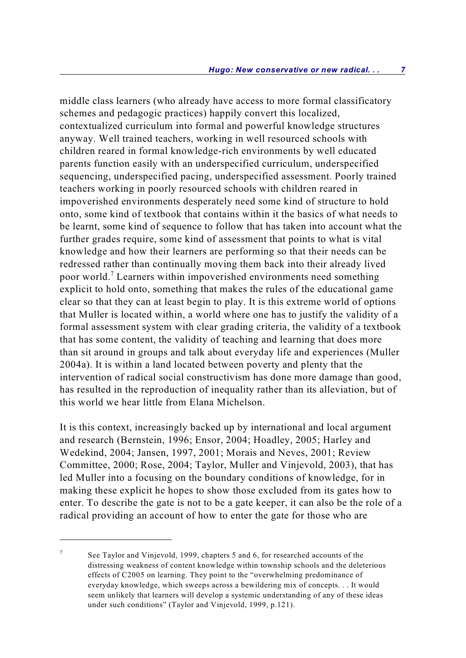middle class learners (who already have access to more formal classificatory schemes and pedagogic practices) happily convert this localized, contextualized curriculum into formal and powerful knowledge structures anyway. Well trained teachers, working in well resourced schools with children reared in formal knowledge-rich environments by well educated parents function easily with an underspecified curriculum, underspecified sequencing, underspecified pacing, underspecified assessment. Poorly trained teachers working in poorly resourced schools with children reared in impoverished environments desperately need some kind of structure to hold onto, some kind of textbook that contains within it the basics of what needs to be learnt, some kind of sequence to follow that has taken into account what the further grades require, some kind of assessment that points to what is vital knowledge and how their learners are performing so that their needs can be redressed rather than continually moving them back into their already lived poor world.<sup>7</sup> Learners within impoverished environments need something explicit to hold onto, something that makes the rules of the educational game clear so that they can at least begin to play. It is this extreme world of options that Muller is located within, a world where one has to justify the validity of a formal assessment system with clear grading criteria, the validity of a textbook that has some content, the validity of teaching and learning that does more than sit around in groups and talk about everyday life and experiences (Muller 2004a). It is within a land located between poverty and plenty that the intervention of radical social constructivism has done more damage than good, has resulted in the reproduction of inequality rather than its alleviation, but of this world we hear little from Elana Michelson.

It is this context, increasingly backed up by international and local argument and research (Bernstein, 1996; Ensor, 2004; Hoadley, 2005; Harley and Wedekind, 2004; Jansen, 1997, 2001; Morais and Neves, 2001; Review Committee, 2000; Rose, 2004; Taylor, Muller and Vinjevold, 2003), that has led Muller into a focusing on the boundary conditions of knowledge, for in making these explicit he hopes to show those excluded from its gates how to enter. To describe the gate is not to be a gate keeper, it can also be the role of a radical providing an account of how to enter the gate for those who are

 $\frac{7}{100}$  See Taylor and Vinjevold, 1999, chapters 5 and 6, for researched accounts of the distressing weakness of content knowledge within township schools and the deleterious effects of C2005 on learning. They point to the "overwhelming predominance of everyday knowledge, which sweeps across a bewildering mix of concepts. . . It would seem unlikely that learners will develop a systemic understanding of any of these ideas under such conditions" (Taylor and Vinjevold, 1999, p.121).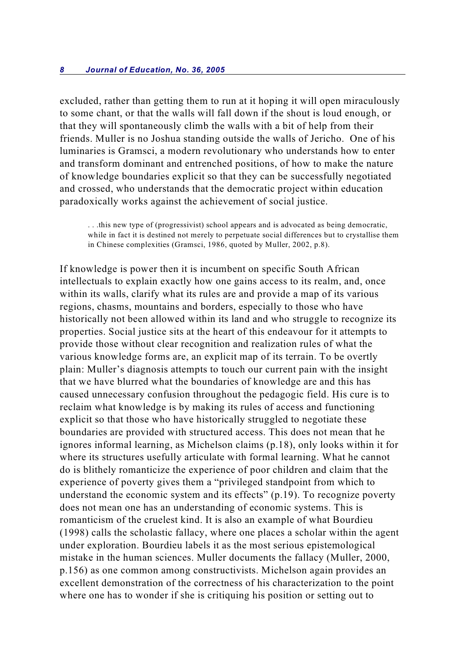excluded, rather than getting them to run at it hoping it will open miraculously to some chant, or that the walls will fall down if the shout is loud enough, or that they will spontaneously climb the walls with a bit of help from their friends. Muller is no Joshua standing outside the walls of Jericho. One of his luminaries is Gramsci, a modern revolutionary who understands how to enter and transform dominant and entrenched positions, of how to make the nature of knowledge boundaries explicit so that they can be successfully negotiated and crossed, who understands that the democratic project within education paradoxically works against the achievement of social justice.

. . .this new type of (progressivist) school appears and is advocated as being democratic, while in fact it is destined not merely to perpetuate social differences but to crystallise them in Chinese complexities (Gramsci, 1986, quoted by Muller, 2002, p.8).

If knowledge is power then it is incumbent on specific South African intellectuals to explain exactly how one gains access to its realm, and, once within its walls, clarify what its rules are and provide a map of its various regions, chasms, mountains and borders, especially to those who have historically not been allowed within its land and who struggle to recognize its properties. Social justice sits at the heart of this endeavour for it attempts to provide those without clear recognition and realization rules of what the various knowledge forms are, an explicit map of its terrain. To be overtly plain: Muller's diagnosis attempts to touch our current pain with the insight that we have blurred what the boundaries of knowledge are and this has caused unnecessary confusion throughout the pedagogic field. His cure is to reclaim what knowledge is by making its rules of access and functioning explicit so that those who have historically struggled to negotiate these boundaries are provided with structured access. This does not mean that he ignores informal learning, as Michelson claims (p.18), only looks within it for where its structures usefully articulate with formal learning. What he cannot do is blithely romanticize the experience of poor children and claim that the experience of poverty gives them a "privileged standpoint from which to understand the economic system and its effects" (p.19). To recognize poverty does not mean one has an understanding of economic systems. This is romanticism of the cruelest kind. It is also an example of what Bourdieu (1998) calls the scholastic fallacy, where one places a scholar within the agent under exploration. Bourdieu labels it as the most serious epistemological mistake in the human sciences. Muller documents the fallacy (Muller, 2000, p.156) as one common among constructivists. Michelson again provides an excellent demonstration of the correctness of his characterization to the point where one has to wonder if she is critiquing his position or setting out to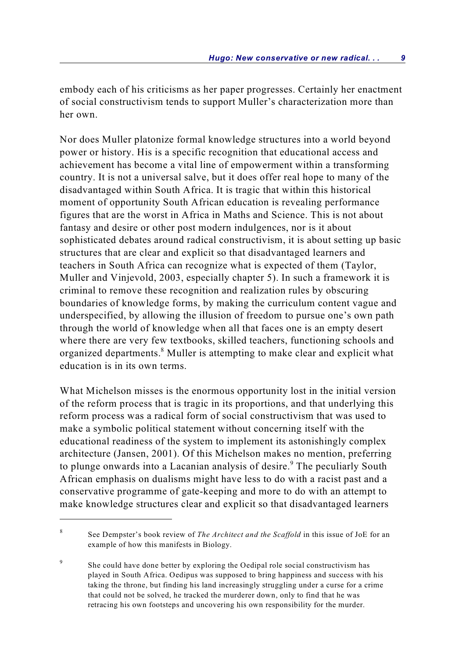embody each of his criticisms as her paper progresses. Certainly her enactment of social constructivism tends to support Muller's characterization more than her own.

Nor does Muller platonize formal knowledge structures into a world beyond power or history. His is a specific recognition that educational access and achievement has become a vital line of empowerment within a transforming country. It is not a universal salve, but it does offer real hope to many of the disadvantaged within South Africa. It is tragic that within this historical moment of opportunity South African education is revealing performance figures that are the worst in Africa in Maths and Science. This is not about fantasy and desire or other post modern indulgences, nor is it about sophisticated debates around radical constructivism, it is about setting up basic structures that are clear and explicit so that disadvantaged learners and teachers in South Africa can recognize what is expected of them (Taylor, Muller and Vinjevold, 2003, especially chapter 5). In such a framework it is criminal to remove these recognition and realization rules by obscuring boundaries of knowledge forms, by making the curriculum content vague and underspecified, by allowing the illusion of freedom to pursue one's own path through the world of knowledge when all that faces one is an empty desert where there are very few textbooks, skilled teachers, functioning schools and organized departments.<sup>8</sup> Muller is attempting to make clear and explicit what education is in its own terms.

What Michelson misses is the enormous opportunity lost in the initial version of the reform process that is tragic in its proportions, and that underlying this reform process was a radical form of social constructivism that was used to make a symbolic political statement without concerning itself with the educational readiness of the system to implement its astonishingly complex architecture (Jansen, 2001). Of this Michelson makes no mention, preferring to plunge onwards into a Lacanian analysis of desire.<sup>9</sup> The peculiarly South African emphasis on dualisms might have less to do with a racist past and a conservative programme of gate-keeping and more to do with an attempt to make knowledge structures clear and explicit so that disadvantaged learners

See Dempster's book review of *The Architect and the Scaffold* in this issue of JoE for an 8 example of how this manifests in Biology.

<sup>&</sup>lt;sup>9</sup> She could have done better by exploring the Oedipal role social constructivism has played in South Africa. Oedipus was supposed to bring happiness and success with his taking the throne, but finding his land increasingly struggling under a curse for a crime that could not be solved, he tracked the murderer down, only to find that he was retracing his own footsteps and uncovering his own responsibility for the murder.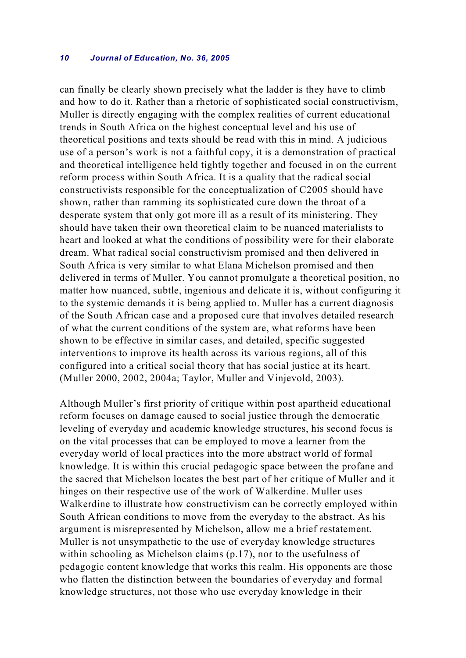can finally be clearly shown precisely what the ladder is they have to climb and how to do it. Rather than a rhetoric of sophisticated social constructivism, Muller is directly engaging with the complex realities of current educational trends in South Africa on the highest conceptual level and his use of theoretical positions and texts should be read with this in mind. A judicious use of a person's work is not a faithful copy, it is a demonstration of practical and theoretical intelligence held tightly together and focused in on the current reform process within South Africa. It is a quality that the radical social constructivists responsible for the conceptualization of C2005 should have shown, rather than ramming its sophisticated cure down the throat of a desperate system that only got more ill as a result of its ministering. They should have taken their own theoretical claim to be nuanced materialists to heart and looked at what the conditions of possibility were for their elaborate dream. What radical social constructivism promised and then delivered in South Africa is very similar to what Elana Michelson promised and then delivered in terms of Muller. You cannot promulgate a theoretical position, no matter how nuanced, subtle, ingenious and delicate it is, without configuring it to the systemic demands it is being applied to. Muller has a current diagnosis of the South African case and a proposed cure that involves detailed research of what the current conditions of the system are, what reforms have been shown to be effective in similar cases, and detailed, specific suggested interventions to improve its health across its various regions, all of this configured into a critical social theory that has social justice at its heart. (Muller 2000, 2002, 2004a; Taylor, Muller and Vinjevold, 2003).

Although Muller's first priority of critique within post apartheid educational reform focuses on damage caused to social justice through the democratic leveling of everyday and academic knowledge structures, his second focus is on the vital processes that can be employed to move a learner from the everyday world of local practices into the more abstract world of formal knowledge. It is within this crucial pedagogic space between the profane and the sacred that Michelson locates the best part of her critique of Muller and it hinges on their respective use of the work of Walkerdine. Muller uses Walkerdine to illustrate how constructivism can be correctly employed within South African conditions to move from the everyday to the abstract. As his argument is misrepresented by Michelson, allow me a brief restatement. Muller is not unsympathetic to the use of everyday knowledge structures within schooling as Michelson claims (p.17), nor to the usefulness of pedagogic content knowledge that works this realm. His opponents are those who flatten the distinction between the boundaries of everyday and formal knowledge structures, not those who use everyday knowledge in their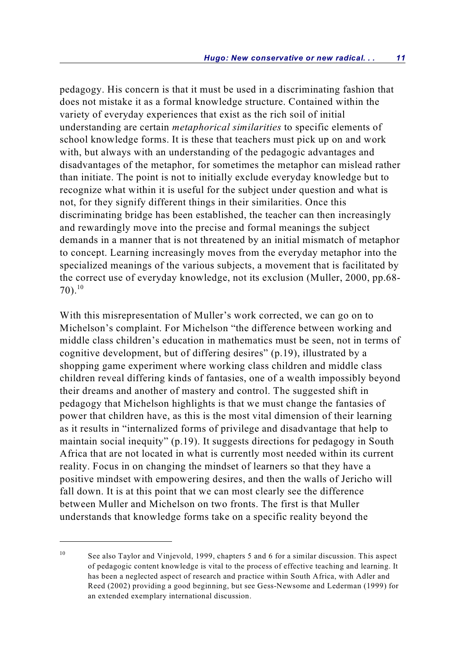pedagogy. His concern is that it must be used in a discriminating fashion that does not mistake it as a formal knowledge structure. Contained within the variety of everyday experiences that exist as the rich soil of initial understanding are certain *metaphorical similarities* to specific elements of school knowledge forms. It is these that teachers must pick up on and work with, but always with an understanding of the pedagogic advantages and disadvantages of the metaphor, for sometimes the metaphor can mislead rather than initiate. The point is not to initially exclude everyday knowledge but to recognize what within it is useful for the subject under question and what is not, for they signify different things in their similarities. Once this discriminating bridge has been established, the teacher can then increasingly and rewardingly move into the precise and formal meanings the subject demands in a manner that is not threatened by an initial mismatch of metaphor to concept. Learning increasingly moves from the everyday metaphor into the specialized meanings of the various subjects, a movement that is facilitated by the correct use of everyday knowledge, not its exclusion (Muller, 2000, pp.68-  $70$ ).<sup>10</sup>

With this misrepresentation of Muller's work corrected, we can go on to Michelson's complaint. For Michelson "the difference between working and middle class children's education in mathematics must be seen, not in terms of cognitive development, but of differing desires" (p.19), illustrated by a shopping game experiment where working class children and middle class children reveal differing kinds of fantasies, one of a wealth impossibly beyond their dreams and another of mastery and control. The suggested shift in pedagogy that Michelson highlights is that we must change the fantasies of power that children have, as this is the most vital dimension of their learning as it results in "internalized forms of privilege and disadvantage that help to maintain social inequity" (p.19). It suggests directions for pedagogy in South Africa that are not located in what is currently most needed within its current reality. Focus in on changing the mindset of learners so that they have a positive mindset with empowering desires, and then the walls of Jericho will fall down. It is at this point that we can most clearly see the difference between Muller and Michelson on two fronts. The first is that Muller understands that knowledge forms take on a specific reality beyond the

<sup>&</sup>lt;sup>10</sup> See also Taylor and Vinjevold, 1999, chapters 5 and 6 for a similar discussion. This aspect of pedagogic content knowledge is vital to the process of effective teaching and learning. It has been a neglected aspect of research and practice within South Africa, with Adler and Reed (2002) providing a good beginning, but see Gess-Newsome and Lederman (1999) for an extended exemplary international discussion.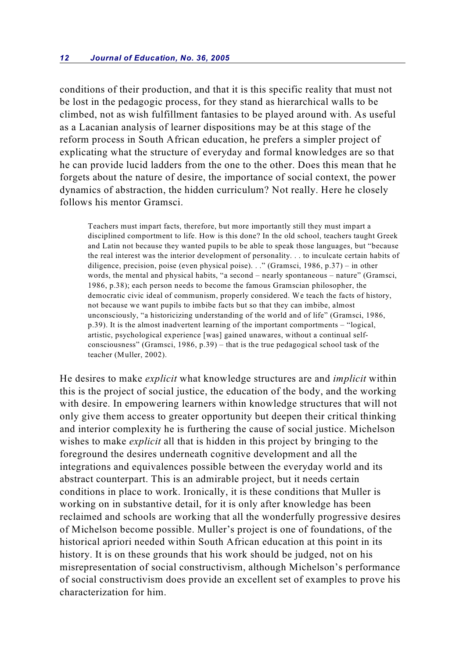conditions of their production, and that it is this specific reality that must not be lost in the pedagogic process, for they stand as hierarchical walls to be climbed, not as wish fulfillment fantasies to be played around with. As useful as a Lacanian analysis of learner dispositions may be at this stage of the reform process in South African education, he prefers a simpler project of explicating what the structure of everyday and formal knowledges are so that he can provide lucid ladders from the one to the other. Does this mean that he forgets about the nature of desire, the importance of social context, the power dynamics of abstraction, the hidden curriculum? Not really. Here he closely follows his mentor Gramsci.

Teachers must impart facts, therefore, but more importantly still they must impart a disciplined comportment to life. How is this done? In the old school, teachers taught Greek and Latin not because they wanted pupils to be able to speak those languages, but "because the real interest was the interior development of personality. . . to inculcate certain habits of diligence, precision, poise (even physical poise). . ." (Gramsci, 1986, p.37) – in other words, the mental and physical habits, "a second – nearly spontaneous – nature" (Gramsci, 1986, p.38); each person needs to become the famous Gramscian philosopher, the democratic civic ideal of communism, properly considered. We teach the facts of history, not because we want pupils to imbibe facts but so that they can imbibe, almost unconsciously, "a historicizing understanding of the world and of life" (Gramsci, 1986, p.39). It is the almost inadvertent learning of the important comportments – "logical, artistic, psychological experience [was] gained unawares, without a continual selfconsciousness" (Gramsci, 1986, p.39) – that is the true pedagogical school task of the teacher (Muller, 2002).

He desires to make *explicit* what knowledge structures are and *implicit* within this is the project of social justice, the education of the body, and the working with desire. In empowering learners within knowledge structures that will not only give them access to greater opportunity but deepen their critical thinking and interior complexity he is furthering the cause of social justice. Michelson wishes to make *explicit* all that is hidden in this project by bringing to the foreground the desires underneath cognitive development and all the integrations and equivalences possible between the everyday world and its abstract counterpart. This is an admirable project, but it needs certain conditions in place to work. Ironically, it is these conditions that Muller is working on in substantive detail, for it is only after knowledge has been reclaimed and schools are working that all the wonderfully progressive desires of Michelson become possible. Muller's project is one of foundations, of the historical apriori needed within South African education at this point in its history. It is on these grounds that his work should be judged, not on his misrepresentation of social constructivism, although Michelson's performance of social constructivism does provide an excellent set of examples to prove his characterization for him.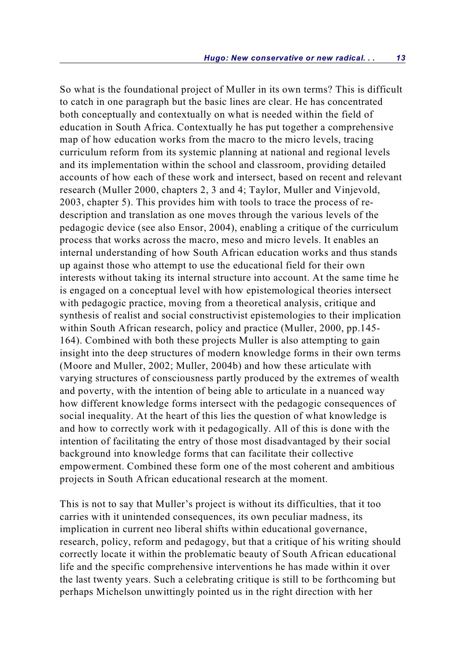So what is the foundational project of Muller in its own terms? This is difficult to catch in one paragraph but the basic lines are clear. He has concentrated both conceptually and contextually on what is needed within the field of education in South Africa. Contextually he has put together a comprehensive map of how education works from the macro to the micro levels, tracing curriculum reform from its systemic planning at national and regional levels and its implementation within the school and classroom, providing detailed accounts of how each of these work and intersect, based on recent and relevant research (Muller 2000, chapters 2, 3 and 4; Taylor, Muller and Vinjevold, 2003, chapter 5). This provides him with tools to trace the process of redescription and translation as one moves through the various levels of the pedagogic device (see also Ensor, 2004), enabling a critique of the curriculum process that works across the macro, meso and micro levels. It enables an internal understanding of how South African education works and thus stands up against those who attempt to use the educational field for their own interests without taking its internal structure into account. At the same time he is engaged on a conceptual level with how epistemological theories intersect with pedagogic practice, moving from a theoretical analysis, critique and synthesis of realist and social constructivist epistemologies to their implication within South African research, policy and practice (Muller, 2000, pp.145- 164). Combined with both these projects Muller is also attempting to gain insight into the deep structures of modern knowledge forms in their own terms (Moore and Muller, 2002; Muller, 2004b) and how these articulate with varying structures of consciousness partly produced by the extremes of wealth and poverty, with the intention of being able to articulate in a nuanced way how different knowledge forms intersect with the pedagogic consequences of social inequality. At the heart of this lies the question of what knowledge is and how to correctly work with it pedagogically. All of this is done with the intention of facilitating the entry of those most disadvantaged by their social background into knowledge forms that can facilitate their collective empowerment. Combined these form one of the most coherent and ambitious projects in South African educational research at the moment.

This is not to say that Muller's project is without its difficulties, that it too carries with it unintended consequences, its own peculiar madness, its implication in current neo liberal shifts within educational governance, research, policy, reform and pedagogy, but that a critique of his writing should correctly locate it within the problematic beauty of South African educational life and the specific comprehensive interventions he has made within it over the last twenty years. Such a celebrating critique is still to be forthcoming but perhaps Michelson unwittingly pointed us in the right direction with her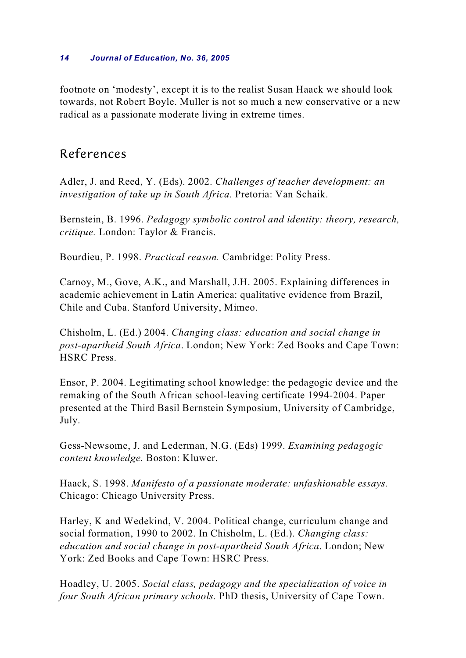footnote on 'modesty', except it is to the realist Susan Haack we should look towards, not Robert Boyle. Muller is not so much a new conservative or a new radical as a passionate moderate living in extreme times.

## References

Adler, J. and Reed, Y. (Eds). 2002. *Challenges of teacher development: an investigation of take up in South Africa.* Pretoria: Van Schaik.

Bernstein, B. 1996. *Pedagogy symbolic control and identity: theory, research, critique.* London: Taylor & Francis.

Bourdieu, P. 1998. *Practical reason.* Cambridge: Polity Press.

Carnoy, M., Gove, A.K., and Marshall, J.H. 2005. Explaining differences in academic achievement in Latin America: qualitative evidence from Brazil, Chile and Cuba. Stanford University, Mimeo.

Chisholm, L. (Ed.) 2004. *Changing class: education and social change in post-apartheid South Africa*. London; New York: Zed Books and Cape Town: HSRC Press.

Ensor, P. 2004. Legitimating school knowledge: the pedagogic device and the remaking of the South African school-leaving certificate 1994-2004. Paper presented at the Third Basil Bernstein Symposium, University of Cambridge, July.

Gess-Newsome, J. and Lederman, N.G. (Eds) 1999. *Examining pedagogic content knowledge.* Boston: Kluwer.

Haack, S. 1998. *Manifesto of a passionate moderate: unfashionable essays.* Chicago: Chicago University Press.

Harley, K and Wedekind, V. 2004. Political change, curriculum change and social formation, 1990 to 2002. In Chisholm, L. (Ed.). *Changing class: education and social change in post-apartheid South Africa*. London; New York: Zed Books and Cape Town: HSRC Press.

Hoadley, U. 2005. *Social class, pedagogy and the specialization of voice in four South African primary schools.* PhD thesis, University of Cape Town.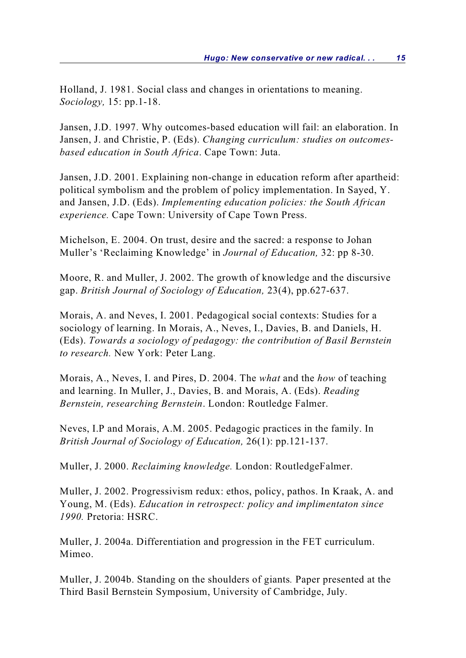Holland, J. 1981. Social class and changes in orientations to meaning. *Sociology,* 15: pp.1-18.

Jansen, J.D. 1997. Why outcomes-based education will fail: an elaboration. In Jansen, J. and Christie, P. (Eds). *Changing curriculum: studies on outcomesbased education in South Africa*. Cape Town: Juta.

Jansen, J.D. 2001. Explaining non-change in education reform after apartheid: political symbolism and the problem of policy implementation. In Sayed, Y. and Jansen, J.D. (Eds). *Implementing education policies: the South African experience.* Cape Town: University of Cape Town Press.

Michelson, E. 2004. On trust, desire and the sacred: a response to Johan Muller's 'Reclaiming Knowledge' in *Journal of Education,* 32: pp 8-30.

Moore, R. and Muller, J. 2002. The growth of knowledge and the discursive gap. *British Journal of Sociology of Education,* 23(4), pp.627-637.

Morais, A. and Neves, I. 2001. Pedagogical social contexts: Studies for a sociology of learning. In Morais, A., Neves, I., Davies, B. and Daniels, H. (Eds). *Towards a sociology of pedagogy: the contribution of Basil Bernstein to research.* New York: Peter Lang.

Morais, A., Neves, I. and Pires, D. 2004. The *what* and the *how* of teaching and learning. In Muller, J., Davies, B. and Morais, A. (Eds). *Reading Bernstein, researching Bernstein*. London: Routledge Falmer.

Neves, I.P and Morais, A.M. 2005. Pedagogic practices in the family. In *British Journal of Sociology of Education,* 26(1): pp.121-137.

Muller, J. 2000. *Reclaiming knowledge.* London: RoutledgeFalmer.

Muller, J. 2002. Progressivism redux: ethos, policy, pathos. In Kraak, A. and Young, M. (Eds). *Education in retrospect: policy and implimentaton since 1990.* Pretoria: HSRC.

Muller, J. 2004a. Differentiation and progression in the FET curriculum. Mimeo.

Muller, J. 2004b. Standing on the shoulders of giants*.* Paper presented at the Third Basil Bernstein Symposium, University of Cambridge, July.